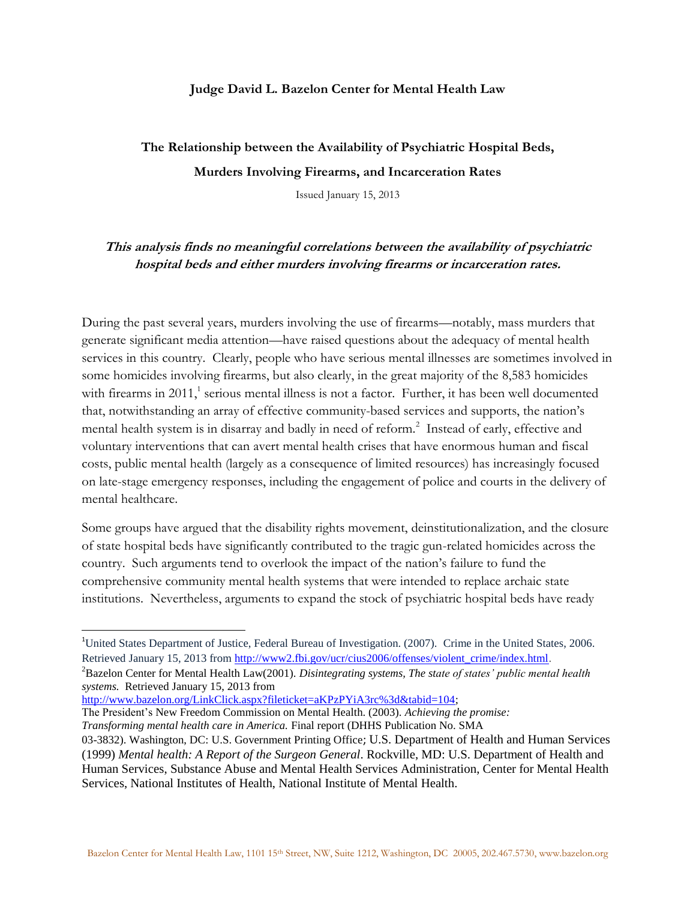## **Judge David L. Bazelon Center for Mental Health Law**

**The Relationship between the Availability of Psychiatric Hospital Beds, Murders Involving Firearms, and Incarceration Rates**

Issued January 15, 2013

## **This analysis finds no meaningful correlations between the availability of psychiatric hospital beds and either murders involving firearms or incarceration rates.**

During the past several years, murders involving the use of firearms—notably, mass murders that generate significant media attention—have raised questions about the adequacy of mental health services in this country. Clearly, people who have serious mental illnesses are sometimes involved in some homicides involving firearms, but also clearly, in the great majority of the 8,583 homicides with firearms in 2011,<sup>1</sup> serious mental illness is not a factor. Further, it has been well documented that, notwithstanding an array of effective community-based services and supports, the nation's mental health system is in disarray and badly in need of reform.<sup>2</sup> Instead of early, effective and voluntary interventions that can avert mental health crises that have enormous human and fiscal costs, public mental health (largely as a consequence of limited resources) has increasingly focused on late-stage emergency responses, including the engagement of police and courts in the delivery of mental healthcare.

Some groups have argued that the disability rights movement, deinstitutionalization, and the closure of state hospital beds have significantly contributed to the tragic gun-related homicides across the country. Such arguments tend to overlook the impact of the nation's failure to fund the comprehensive community mental health systems that were intended to replace archaic state institutions. Nevertheless, arguments to expand the stock of psychiatric hospital beds have ready

[http://www.bazelon.org/LinkClick.aspx?fileticket=aKPzPYiA3rc%3d&tabid=104;](http://www.bazelon.org/LinkClick.aspx?fileticket=aKPzPYiA3rc%3d&tabid=104)

 $\overline{\phantom{a}}$ 

The President's New Freedom Commission on Mental Health. (2003). *Achieving the promise: Transforming mental health care in America.* Final report (DHHS Publication No. SMA

<sup>1</sup>United States Department of Justice, Federal Bureau of Investigation. (2007). Crime in the United States, 2006. Retrieved January 15, 2013 from [http://www2.fbi.gov/ucr/cius2006/offenses/violent\\_crime/index.html.](http://www2.fbi.gov/ucr/cius2006/offenses/violent_crime/index.html)

<sup>2</sup>Bazelon Center for Mental Health Law(2001). *Disintegrating systems, The state of states' public mental health systems.* Retrieved January 15, 2013 from

<sup>03-3832).</sup> Washington, DC: U.S. Government Printing Office; U.S. Department of Health and Human Services (1999) *Mental health: A Report of the Surgeon General*. Rockville, MD: U.S. Department of Health and Human Services, Substance Abuse and Mental Health Services Administration, Center for Mental Health Services, National Institutes of Health, National Institute of Mental Health.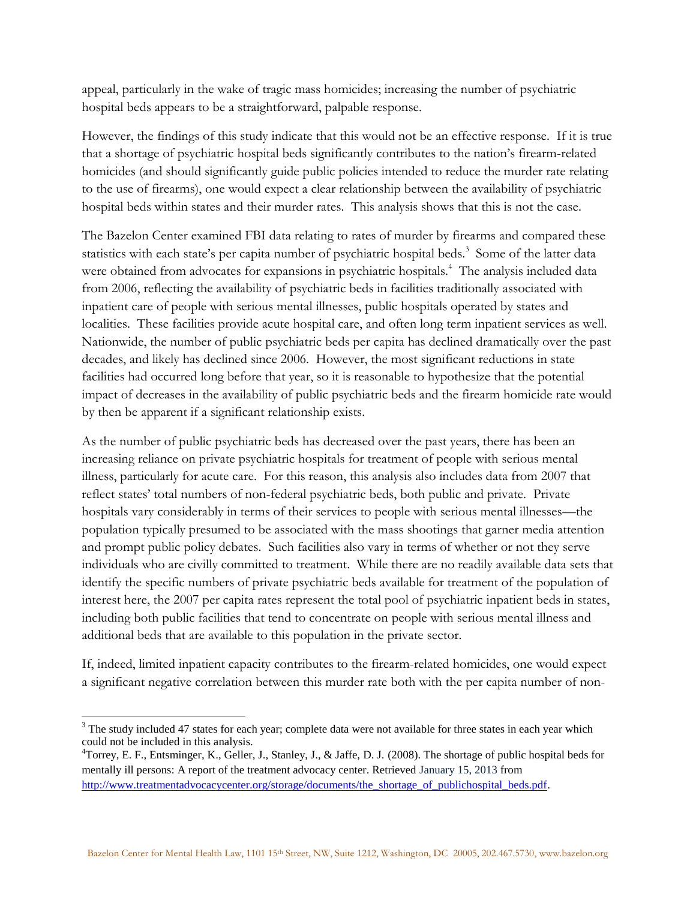appeal, particularly in the wake of tragic mass homicides; increasing the number of psychiatric hospital beds appears to be a straightforward, palpable response.

However, the findings of this study indicate that this would not be an effective response. If it is true that a shortage of psychiatric hospital beds significantly contributes to the nation's firearm-related homicides (and should significantly guide public policies intended to reduce the murder rate relating to the use of firearms), one would expect a clear relationship between the availability of psychiatric hospital beds within states and their murder rates. This analysis shows that this is not the case.

The Bazelon Center examined FBI data relating to rates of murder by firearms and compared these statistics with each state's per capita number of psychiatric hospital beds.<sup>3</sup> Some of the latter data were obtained from advocates for expansions in psychiatric hospitals.<sup>4</sup> The analysis included data from 2006, reflecting the availability of psychiatric beds in facilities traditionally associated with inpatient care of people with serious mental illnesses, public hospitals operated by states and localities. These facilities provide acute hospital care, and often long term inpatient services as well. Nationwide, the number of public psychiatric beds per capita has declined dramatically over the past decades, and likely has declined since 2006. However, the most significant reductions in state facilities had occurred long before that year, so it is reasonable to hypothesize that the potential impact of decreases in the availability of public psychiatric beds and the firearm homicide rate would by then be apparent if a significant relationship exists.

As the number of public psychiatric beds has decreased over the past years, there has been an increasing reliance on private psychiatric hospitals for treatment of people with serious mental illness, particularly for acute care. For this reason, this analysis also includes data from 2007 that reflect states' total numbers of non-federal psychiatric beds, both public and private. Private hospitals vary considerably in terms of their services to people with serious mental illnesses—the population typically presumed to be associated with the mass shootings that garner media attention and prompt public policy debates. Such facilities also vary in terms of whether or not they serve individuals who are civilly committed to treatment. While there are no readily available data sets that identify the specific numbers of private psychiatric beds available for treatment of the population of interest here, the 2007 per capita rates represent the total pool of psychiatric inpatient beds in states, including both public facilities that tend to concentrate on people with serious mental illness and additional beds that are available to this population in the private sector.

If, indeed, limited inpatient capacity contributes to the firearm-related homicides, one would expect a significant negative correlation between this murder rate both with the per capita number of non-

l <sup>3</sup> The study included 47 states for each year; complete data were not available for three states in each year which could not be included in this analysis.

<sup>&</sup>lt;sup>4</sup>Torrey, E. F., Entsminger, K., Geller, J., Stanley, J., & Jaffe, D. J. (2008). The shortage of public hospital beds for mentally ill persons: A report of the treatment advocacy center. Retrieved January 15, 2013 from [http://www.treatmentadvocacycenter.org/storage/documents/the\\_shortage\\_of\\_publichospital\\_beds.pdf.](http://www.treatmentadvocacycenter.org/storage/documents/the_shortage_of_publichospital_beds.pdf)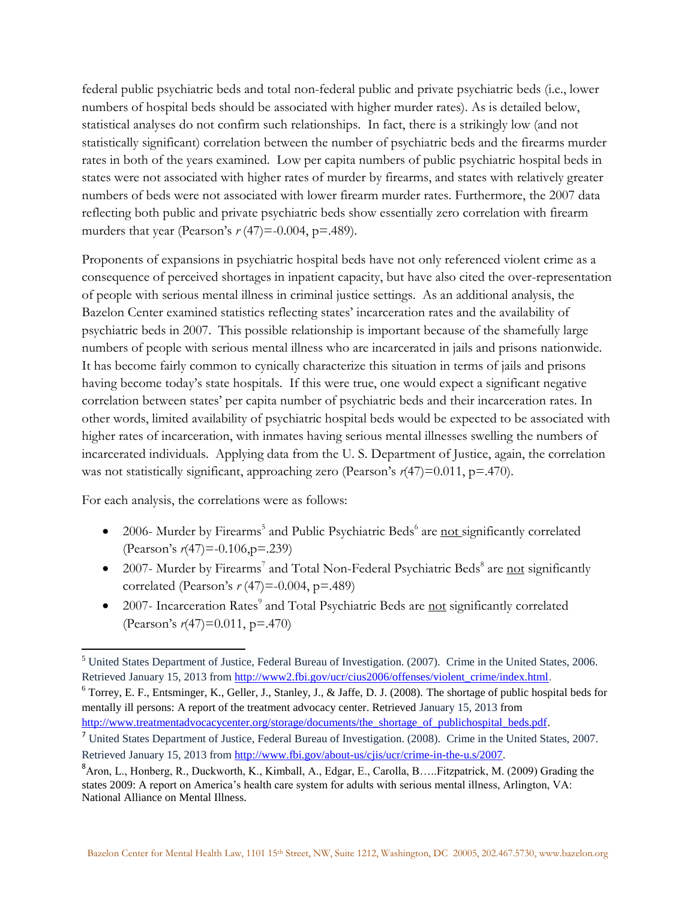federal public psychiatric beds and total non-federal public and private psychiatric beds (i.e., lower numbers of hospital beds should be associated with higher murder rates). As is detailed below, statistical analyses do not confirm such relationships. In fact, there is a strikingly low (and not statistically significant) correlation between the number of psychiatric beds and the firearms murder rates in both of the years examined. Low per capita numbers of public psychiatric hospital beds in states were not associated with higher rates of murder by firearms, and states with relatively greater numbers of beds were not associated with lower firearm murder rates. Furthermore, the 2007 data reflecting both public and private psychiatric beds show essentially zero correlation with firearm murders that year (Pearson's  $r(47) = -0.004$ , p=.489).

Proponents of expansions in psychiatric hospital beds have not only referenced violent crime as a consequence of perceived shortages in inpatient capacity, but have also cited the over-representation of people with serious mental illness in criminal justice settings. As an additional analysis, the Bazelon Center examined statistics reflecting states' incarceration rates and the availability of psychiatric beds in 2007. This possible relationship is important because of the shamefully large numbers of people with serious mental illness who are incarcerated in jails and prisons nationwide. It has become fairly common to cynically characterize this situation in terms of jails and prisons having become today's state hospitals. If this were true, one would expect a significant negative correlation between states' per capita number of psychiatric beds and their incarceration rates. In other words, limited availability of psychiatric hospital beds would be expected to be associated with higher rates of incarceration, with inmates having serious mental illnesses swelling the numbers of incarcerated individuals. Applying data from the U. S. Department of Justice, again, the correlation was not statistically significant, approaching zero (Pearson's  $r(47)=0.011$ , p=.470).

For each analysis, the correlations were as follows:

- 2006- Murder by Firearms<sup>5</sup> and Public Psychiatric Beds<sup>6</sup> are not significantly correlated (Pearson's *r*(47)=-0.106,p=.239)
- 2007- Murder by Firearms<sup>7</sup> and Total Non-Federal Psychiatric Beds<sup>8</sup> are not significantly correlated (Pearson's *r* (47)=-0.004, p=.489)
- 2007- Incarceration Rates<sup>9</sup> and Total Psychiatric Beds are not significantly correlated (Pearson's *r*(47)=0.011, p=.470)

 $\overline{\phantom{a}}$ <sup>5</sup> United States Department of Justice, Federal Bureau of Investigation. (2007). Crime in the United States, 2006. Retrieved January 15, 2013 from [http://www2.fbi.gov/ucr/cius2006/offenses/violent\\_crime/index.html.](http://www2.fbi.gov/ucr/cius2006/offenses/violent_crime/index.html)  $6$  Torrey, E. F., Entsminger, K., Geller, J., Stanley, J., & Jaffe, D. J. (2008). The shortage of public hospital beds for

mentally ill persons: A report of the treatment advocacy center. Retrieved January 15, 2013 from [http://www.treatmentadvocacycenter.org/storage/documents/the\\_shortage\\_of\\_publichospital\\_beds.pdf.](http://www.treatmentadvocacycenter.org/storage/documents/the_shortage_of_publichospital_beds.pdf)

<sup>7</sup> United States Department of Justice, Federal Bureau of Investigation. (2008). Crime in the United States, 2007. Retrieved January 15, 2013 from [http://www.fbi.gov/about-us/cjis/ucr/crime-in-the-u.s/2007.](http://www.fbi.gov/about-us/cjis/ucr/crime-in-the-u.s/2007)

<sup>8</sup>Aron, L., Honberg, R., Duckworth, K., Kimball, A., Edgar, E., Carolla, B…..Fitzpatrick, M. (2009) Grading the states 2009: A report on America's health care system for adults with serious mental illness, Arlington, VA: National Alliance on Mental Illness.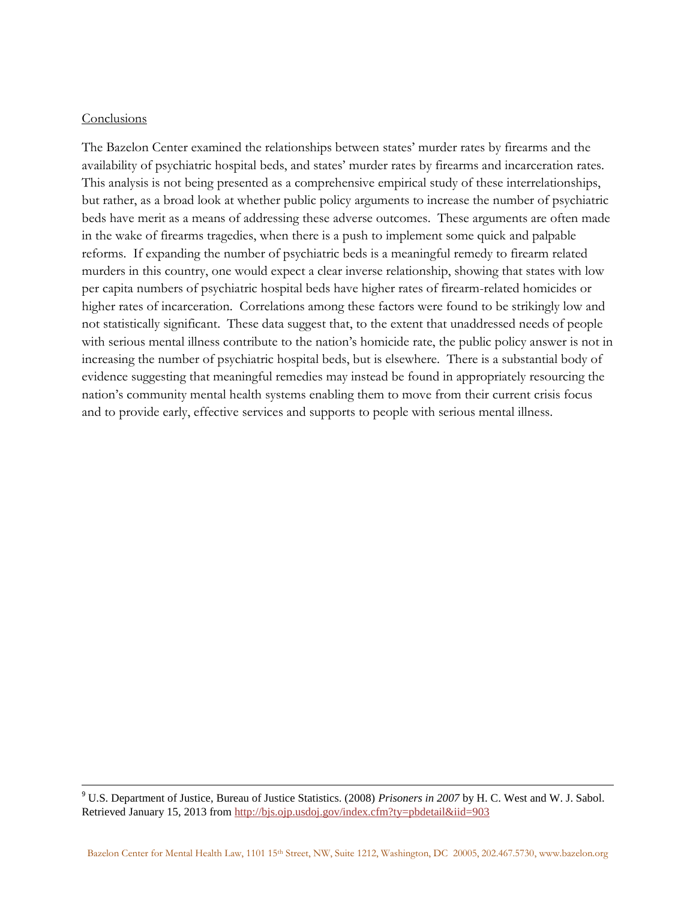## Conclusions

l

The Bazelon Center examined the relationships between states' murder rates by firearms and the availability of psychiatric hospital beds, and states' murder rates by firearms and incarceration rates. This analysis is not being presented as a comprehensive empirical study of these interrelationships, but rather, as a broad look at whether public policy arguments to increase the number of psychiatric beds have merit as a means of addressing these adverse outcomes. These arguments are often made in the wake of firearms tragedies, when there is a push to implement some quick and palpable reforms. If expanding the number of psychiatric beds is a meaningful remedy to firearm related murders in this country, one would expect a clear inverse relationship, showing that states with low per capita numbers of psychiatric hospital beds have higher rates of firearm-related homicides or higher rates of incarceration. Correlations among these factors were found to be strikingly low and not statistically significant. These data suggest that, to the extent that unaddressed needs of people with serious mental illness contribute to the nation's homicide rate, the public policy answer is not in increasing the number of psychiatric hospital beds, but is elsewhere. There is a substantial body of evidence suggesting that meaningful remedies may instead be found in appropriately resourcing the nation's community mental health systems enabling them to move from their current crisis focus and to provide early, effective services and supports to people with serious mental illness.

<sup>9</sup> U.S. Department of Justice, Bureau of Justice Statistics. (2008) *Prisoners in 2007* by H. C. West and W. J. Sabol. Retrieved January 15, 2013 from<http://bjs.ojp.usdoj.gov/index.cfm?ty=pbdetail&iid=903>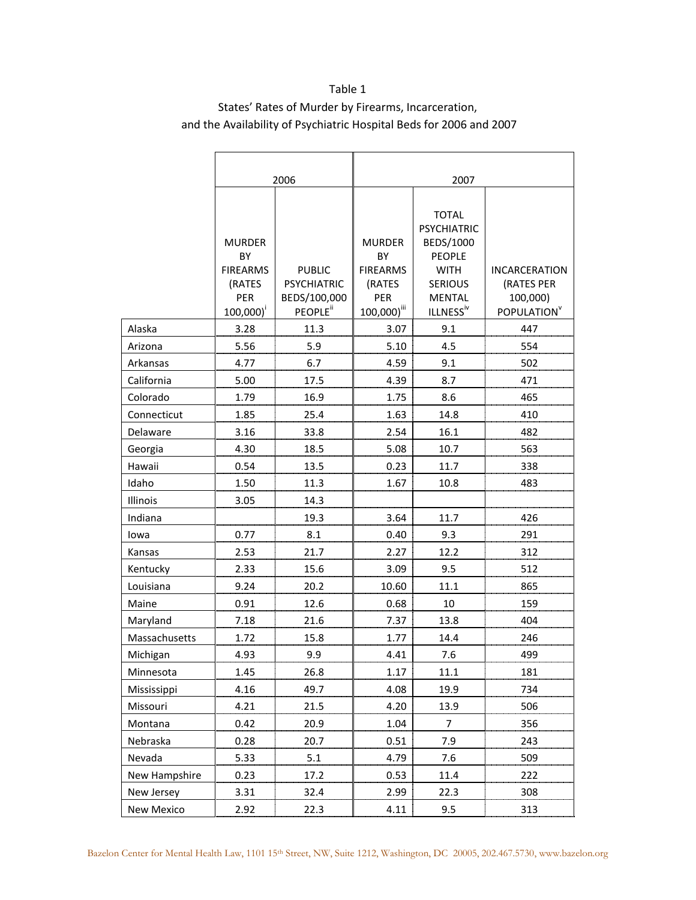## Table 1 States' Rates of Murder by Firearms, Incarceration, and the Availability of Psychiatric Hospital Beds for 2006 and 2007

|                     | 2006                                                                              |                                                                             |                                                                                    |                                                                                                                                             |                                                                           |  |
|---------------------|-----------------------------------------------------------------------------------|-----------------------------------------------------------------------------|------------------------------------------------------------------------------------|---------------------------------------------------------------------------------------------------------------------------------------------|---------------------------------------------------------------------------|--|
|                     |                                                                                   |                                                                             | 2007                                                                               |                                                                                                                                             |                                                                           |  |
|                     | <b>MURDER</b><br>BY<br><b>FIREARMS</b><br>(RATES<br>PER<br>$100,000$ <sup>i</sup> | <b>PUBLIC</b><br><b>PSYCHIATRIC</b><br>BEDS/100,000<br>PEOPLE <sup>ii</sup> | <b>MURDER</b><br>BY<br><b>FIREARMS</b><br>(RATES<br>PER<br>100,000) <sup>iii</sup> | <b>TOTAL</b><br><b>PSYCHIATRIC</b><br>BEDS/1000<br><b>PEOPLE</b><br><b>WITH</b><br><b>SERIOUS</b><br><b>MENTAL</b><br>ILLNESS <sup>iv</sup> | <b>INCARCERATION</b><br>(RATES PER<br>100,000)<br>POPULATION <sup>V</sup> |  |
| Alaska              | 3.28                                                                              | 11.3                                                                        | 3.07                                                                               | 9.1                                                                                                                                         | 447                                                                       |  |
|                     | 5.56                                                                              | 5.9                                                                         |                                                                                    | 4.5                                                                                                                                         | 554                                                                       |  |
| Arizona<br>Arkansas | 4.77                                                                              | 6.7                                                                         | 5.10<br>4.59                                                                       | 9.1                                                                                                                                         | 502                                                                       |  |
| California          | 5.00                                                                              | 17.5                                                                        | 4.39                                                                               | 8.7                                                                                                                                         | 471                                                                       |  |
| Colorado            | 1.79                                                                              | 16.9                                                                        | 1.75                                                                               | 8.6                                                                                                                                         | 465                                                                       |  |
| Connecticut         | 1.85                                                                              | 25.4                                                                        | 1.63                                                                               | 14.8                                                                                                                                        | 410                                                                       |  |
| Delaware            | 3.16                                                                              | 33.8                                                                        | 2.54                                                                               | 16.1                                                                                                                                        | 482                                                                       |  |
|                     | 4.30                                                                              | 18.5                                                                        | 5.08                                                                               | 10.7                                                                                                                                        | 563                                                                       |  |
| Georgia<br>Hawaii   | 0.54                                                                              | 13.5                                                                        | 0.23                                                                               | 11.7                                                                                                                                        | 338                                                                       |  |
| Idaho               | 1.50                                                                              | 11.3                                                                        | 1.67                                                                               | 10.8                                                                                                                                        | 483                                                                       |  |
| Illinois            | 3.05                                                                              | 14.3                                                                        |                                                                                    |                                                                                                                                             |                                                                           |  |
| Indiana             |                                                                                   | 19.3                                                                        | 3.64                                                                               | 11.7                                                                                                                                        | 426                                                                       |  |
| lowa                | 0.77                                                                              | 8.1                                                                         | 0.40                                                                               | 9.3                                                                                                                                         | 291                                                                       |  |
| Kansas              | 2.53                                                                              | 21.7                                                                        | 2.27                                                                               | 12.2                                                                                                                                        | 312                                                                       |  |
| Kentucky            | 2.33                                                                              | 15.6                                                                        | 3.09                                                                               | 9.5                                                                                                                                         | 512                                                                       |  |
| Louisiana           | 9.24                                                                              | 20.2                                                                        | 10.60                                                                              | 11.1                                                                                                                                        | 865                                                                       |  |
| Maine               | 0.91                                                                              | 12.6                                                                        | 0.68                                                                               | 10                                                                                                                                          | 159                                                                       |  |
| Maryland            | 7.18                                                                              | 21.6                                                                        | 7.37                                                                               | 13.8                                                                                                                                        | 404                                                                       |  |
| Massachusetts       | 1.72                                                                              | 15.8                                                                        | 1.77                                                                               | 14.4                                                                                                                                        | 246                                                                       |  |
| Michigan            | 4.93                                                                              | 9.9                                                                         | 4.41                                                                               | 7.6                                                                                                                                         | 499                                                                       |  |
| Minnesota           | 1.45                                                                              | 26.8                                                                        | 1.17                                                                               | 11.1                                                                                                                                        | 181                                                                       |  |
| Mississippi         | 4.16                                                                              | 49.7                                                                        | 4.08                                                                               | 19.9                                                                                                                                        | 734                                                                       |  |
| Missouri            | 4.21                                                                              | 21.5                                                                        | 4.20                                                                               | 13.9                                                                                                                                        | 506                                                                       |  |
| Montana             | 0.42                                                                              | 20.9                                                                        | 1.04                                                                               | 7                                                                                                                                           | 356                                                                       |  |
| Nebraska            | 0.28                                                                              | 20.7                                                                        | 0.51                                                                               | 7.9                                                                                                                                         | 243                                                                       |  |
| Nevada              | 5.33                                                                              | 5.1                                                                         | 4.79                                                                               | 7.6                                                                                                                                         | 509                                                                       |  |
| New Hampshire       | 0.23                                                                              | 17.2                                                                        | 0.53                                                                               | 11.4                                                                                                                                        | 222                                                                       |  |
| New Jersey          | 3.31                                                                              | 32.4                                                                        | 2.99                                                                               | 22.3                                                                                                                                        | 308                                                                       |  |
| New Mexico          | 2.92                                                                              | 22.3                                                                        | 4.11                                                                               | 9.5                                                                                                                                         | 313                                                                       |  |